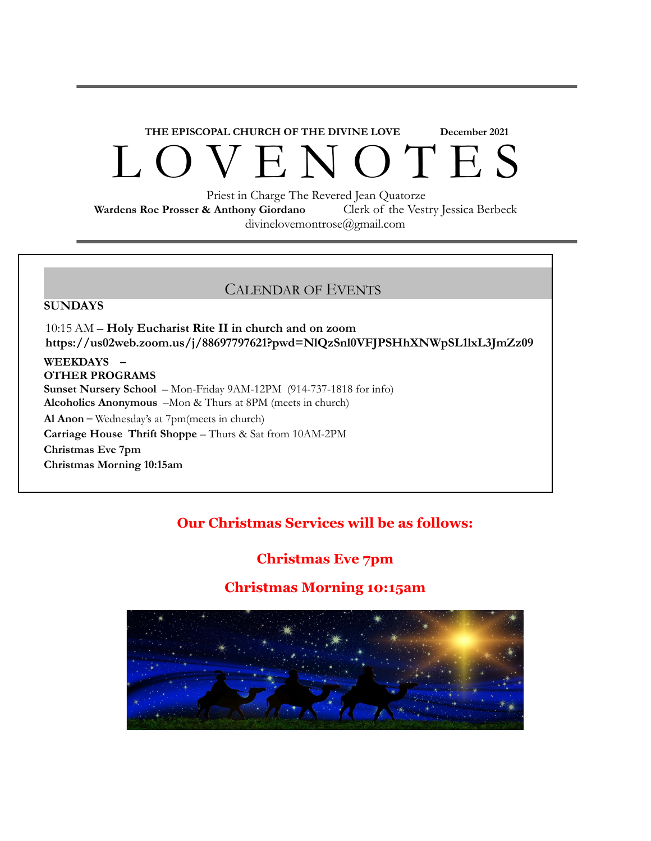# **THE EPISCOPAL CHURCH OF THE DIVINE LOVE December 2021** L O V E N O T E S

Priest in Charge The Revered Jean Quatorze

**Wardens Roe Prosser & Anthony Giordano** Clerk of the Vestry Jessica Berbeck divinelovemontrose@gmail.com

## CALENDAR OF EVENTS

#### **SUNDAYS**

10:15 AM – **Holy Eucharist Rite II in church and on zoom https://us02web.zoom.us/j/88697797621?pwd=NlQzSnl0VFJPSHhXNWpSL1lxL3JmZz09**

## **WEEKDAYS –**

**OTHER PROGRAMS Sunset Nursery School** – Mon-Friday 9AM-12PM (914-737-1818 for info) **Alcoholics Anonymous** –Mon & Thurs at 8PM (meets in church) **Al Anon** – Wednesday's at 7pm(meets in church) **Carriage House Thrift Shoppe** – Thurs & Sat from 10AM-2PM **Christmas Eve 7pm Christmas Morning 10:15am**

## **Our Christmas Services will be as follows:**

## **Christmas Eve 7pm**

## **Christmas Morning 10:15am**

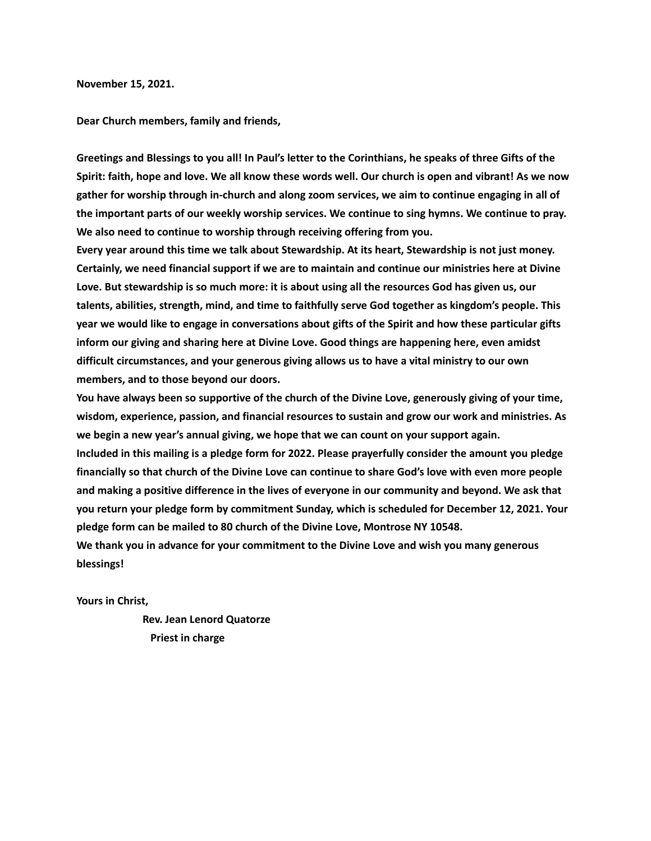**November 15, 2021.**

**Dear Church members, family and friends,**

Greetings and Blessings to you all! In Paul's letter to the Corinthians, he speaks of three Gifts of the Spirit: faith, hope and love. We all know these words well. Our church is open and vibrant! As we now **gather for worship through in-church and along zoom services, we aim to continue engaging in all of the important parts of our weekly worship services. We continue to sing hymns. We continue to pray. We also need to continue to worship through receiving offering from you.**

**Every year around this time we talk about Stewardship. At its heart, Stewardship is not just money. Certainly, we need financial support if we are to maintain and continue our ministries here at Divine** Love. But stewardship is so much more: it is about using all the resources God has given us, our **talents, abilities, strength, mind, and time to faithfully serve God together as kingdom's people. This** year we would like to engage in conversations about gifts of the Spirit and how these particular gifts **inform our giving and sharing here at Divine Love. Good things are happening here, even amidst difficult circumstances, and your generous giving allows us to have a vital ministry to our own members, and to those beyond our doors.**

You have always been so supportive of the church of the Divine Love, generously giving of your time, **wisdom, experience, passion, and financial resources to sustain and grow our work and ministries. As we begin a new year's annual giving, we hope that we can count on your support again.**

**Included in this mailing is a pledge form for 2022. Please prayerfully consider the amount you pledge** financially so that church of the Divine Love can continue to share God's love with even more people **and making a positive difference in the lives of everyone in our community and beyond. We ask that you return your pledge form by commitment Sunday, which is scheduled for December 12, 2021. Your pledge form can be mailed to 80 church of the Divine Love, Montrose NY 10548.**

**We thank you in advance for your commitment to the Divine Love and wish you many generous blessings!**

**Yours in Christ,**

**Rev. Jean Lenord Quatorze Priest in charge**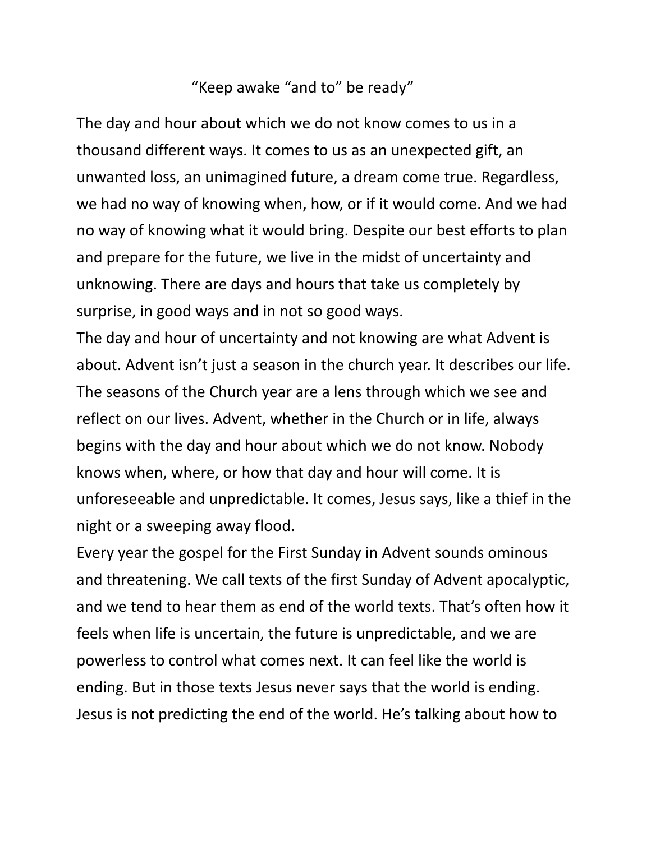# "Keep awake "and to" be ready"

The day and hour about which we do not know comes to us in a thousand different ways. It comes to us as an unexpected gift, an unwanted loss, an unimagined future, a dream come true. Regardless, we had no way of knowing when, how, or if it would come. And we had no way of knowing what it would bring. Despite our best efforts to plan and prepare for the future, we live in the midst of uncertainty and unknowing. There are days and hours that take us completely by surprise, in good ways and in not so good ways.

The day and hour of uncertainty and not knowing are what Advent is about. Advent isn't just a season in the church year. It describes our life. The seasons of the Church year are a lens through which we see and reflect on our lives. Advent, whether in the Church or in life, always begins with the day and hour about which we do not know. Nobody knows when, where, or how that day and hour will come. It is unforeseeable and unpredictable. It comes, Jesus says, like a thief in the night or a sweeping away flood.

Every year the gospel for the First Sunday in Advent sounds ominous and threatening. We call texts of the first Sunday of Advent apocalyptic, and we tend to hear them as end of the world texts. That's often how it feels when life is uncertain, the future is unpredictable, and we are powerless to control what comes next. It can feel like the world is ending. But in those texts Jesus never says that the world is ending. Jesus is not predicting the end of the world. He's talking about how to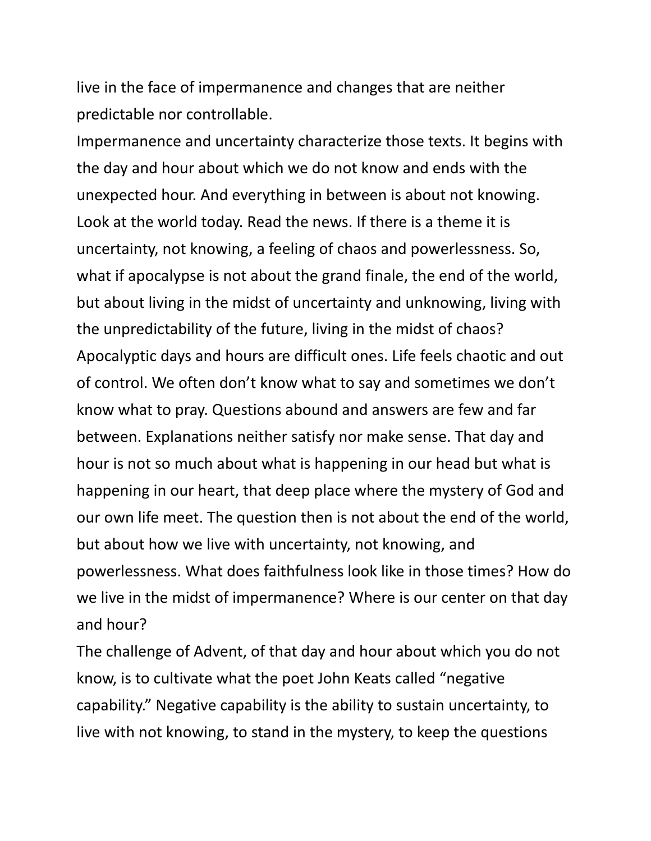live in the face of impermanence and changes that are neither predictable nor controllable.

Impermanence and uncertainty characterize those texts. It begins with the day and hour about which we do not know and ends with the unexpected hour. And everything in between is about not knowing. Look at the world today. Read the news. If there is a theme it is uncertainty, not knowing, a feeling of chaos and powerlessness. So, what if apocalypse is not about the grand finale, the end of the world, but about living in the midst of uncertainty and unknowing, living with the unpredictability of the future, living in the midst of chaos? Apocalyptic days and hours are difficult ones. Life feels chaotic and out of control. We often don't know what to say and sometimes we don't know what to pray. Questions abound and answers are few and far between. Explanations neither satisfy nor make sense. That day and hour is not so much about what is happening in our head but what is happening in our heart, that deep place where the mystery of God and our own life meet. The question then is not about the end of the world, but about how we live with uncertainty, not knowing, and powerlessness. What does faithfulness look like in those times? How do we live in the midst of impermanence? Where is our center on that day and hour?

The challenge of Advent, of that day and hour about which you do not know, is to cultivate what the poet John Keats called "negative capability." Negative capability is the ability to sustain uncertainty, to live with not knowing, to stand in the mystery, to keep the questions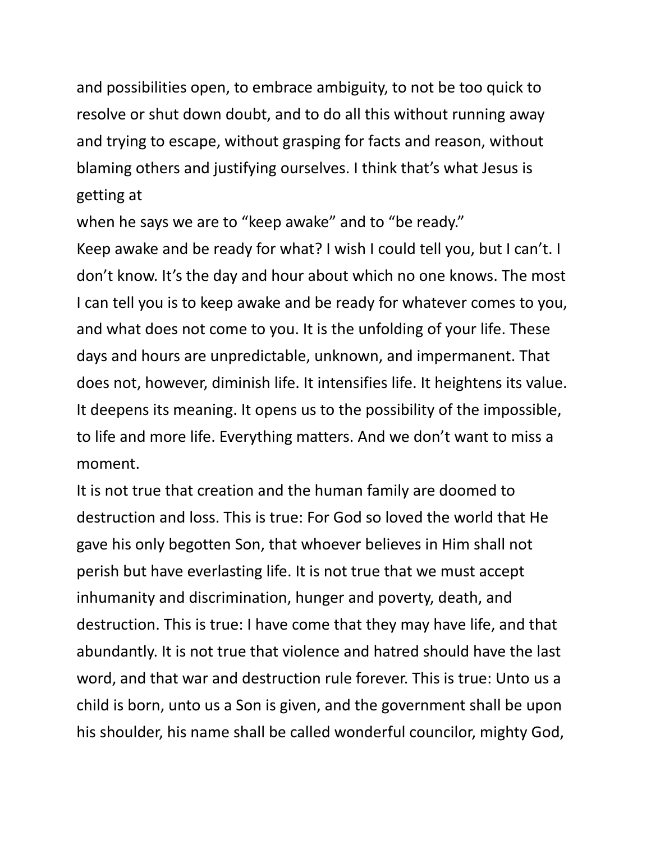and possibilities open, to embrace ambiguity, to not be too quick to resolve or shut down doubt, and to do all this without running away and trying to escape, without grasping for facts and reason, without blaming others and justifying ourselves. I think that's what Jesus is getting at

when he says we are to "keep awake" and to "be ready." Keep awake and be ready for what? I wish I could tell you, but I can't. I don't know. It's the day and hour about which no one knows. The most I can tell you is to keep awake and be ready for whatever comes to you, and what does not come to you. It is the unfolding of your life. These days and hours are unpredictable, unknown, and impermanent. That does not, however, diminish life. It intensifies life. It heightens its value. It deepens its meaning. It opens us to the possibility of the impossible, to life and more life. Everything matters. And we don't want to miss a moment.

It is not true that creation and the human family are doomed to destruction and loss. This is true: For God so loved the world that He gave his only begotten Son, that whoever believes in Him shall not perish but have everlasting life. It is not true that we must accept inhumanity and discrimination, hunger and poverty, death, and destruction. This is true: I have come that they may have life, and that abundantly. It is not true that violence and hatred should have the last word, and that war and destruction rule forever. This is true: Unto us a child is born, unto us a Son is given, and the government shall be upon his shoulder, his name shall be called wonderful councilor, mighty God,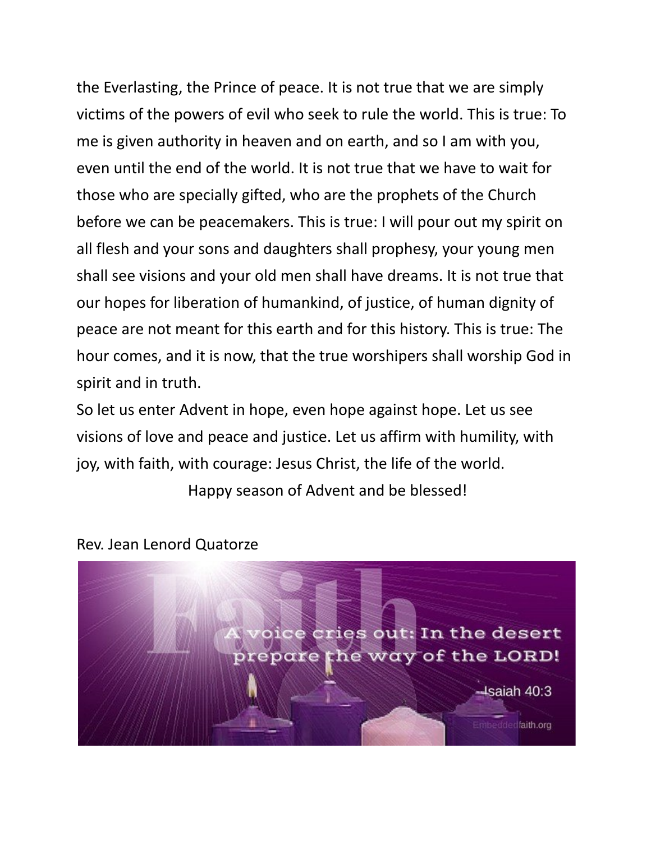the Everlasting, the Prince of peace. It is not true that we are simply victims of the powers of evil who seek to rule the world. This is true: To me is given authority in heaven and on earth, and so I am with you, even until the end of the world. It is not true that we have to wait for those who are specially gifted, who are the prophets of the Church before we can be peacemakers. This is true: I will pour out my spirit on all flesh and your sons and daughters shall prophesy, your young men shall see visions and your old men shall have dreams. It is not true that our hopes for liberation of humankind, of justice, of human dignity of peace are not meant for this earth and for this history. This is true: The hour comes, and it is now, that the true worshipers shall worship God in spirit and in truth.

So let us enter Advent in hope, even hope against hope. Let us see visions of love and peace and justice. Let us affirm with humility, with joy, with faith, with courage: Jesus Christ, the life of the world.

Happy season of Advent and be blessed!



Rev. Jean Lenord Quatorze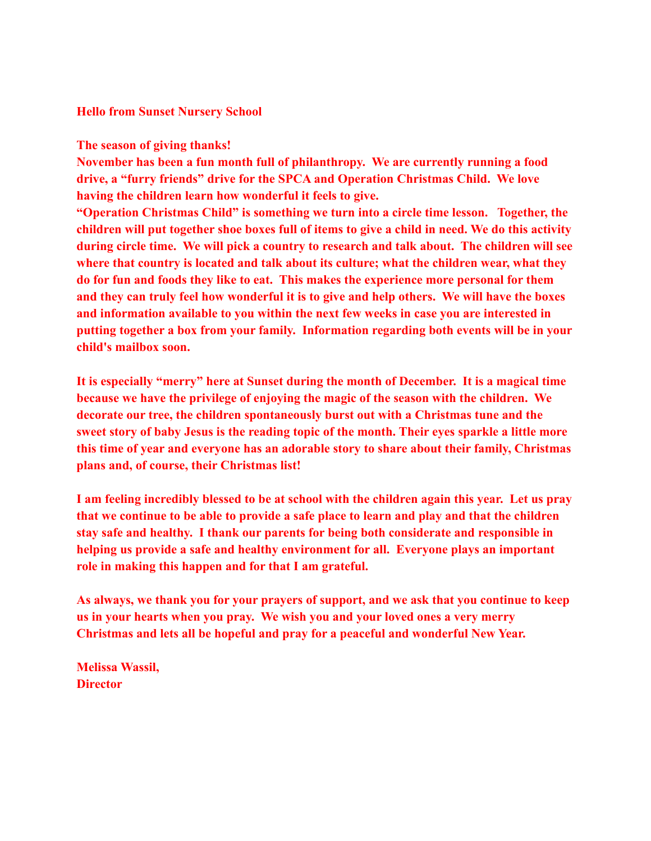#### **Hello from Sunset Nursery School**

#### **The season of giving thanks!**

**November has been a fun month full of philanthropy. We are currently running a food drive, a "furry friends" drive for the SPCA and Operation Christmas Child. We love having the children learn how wonderful it feels to give.**

**"Operation Christmas Child" is something we turn into a circle time lesson. Together, the children will put together shoe boxes full of items to give a child in need. We do this activity during circle time. We will pick a country to research and talk about. The children will see where that country is located and talk about its culture; what the children wear, what they do for fun and foods they like to eat. This makes the experience more personal for them and they can truly feel how wonderful it is to give and help others. We will have the boxes and information available to you within the next few weeks in case you are interested in putting together a box from your family. Information regarding both events will be in your child's mailbox soon.**

**It is especially "merry" here at Sunset during the month of December. It is a magical time because we have the privilege of enjoying the magic of the season with the children. We decorate our tree, the children spontaneously burst out with a Christmas tune and the sweet story of baby Jesus is the reading topic of the month. Their eyes sparkle a little more this time of year and everyone has an adorable story to share about their family, Christmas plans and, of course, their Christmas list!**

**I am feeling incredibly blessed to be at school with the children again this year. Let us pray that we continue to be able to provide a safe place to learn and play and that the children stay safe and healthy. I thank our parents for being both considerate and responsible in helping us provide a safe and healthy environment for all. Everyone plays an important role in making this happen and for that I am grateful.**

**As always, we thank you for your prayers of support, and we ask that you continue to keep us in your hearts when you pray. We wish you and your loved ones a very merry Christmas and lets all be hopeful and pray for a peaceful and wonderful New Year.**

**Melissa Wassil, Director**